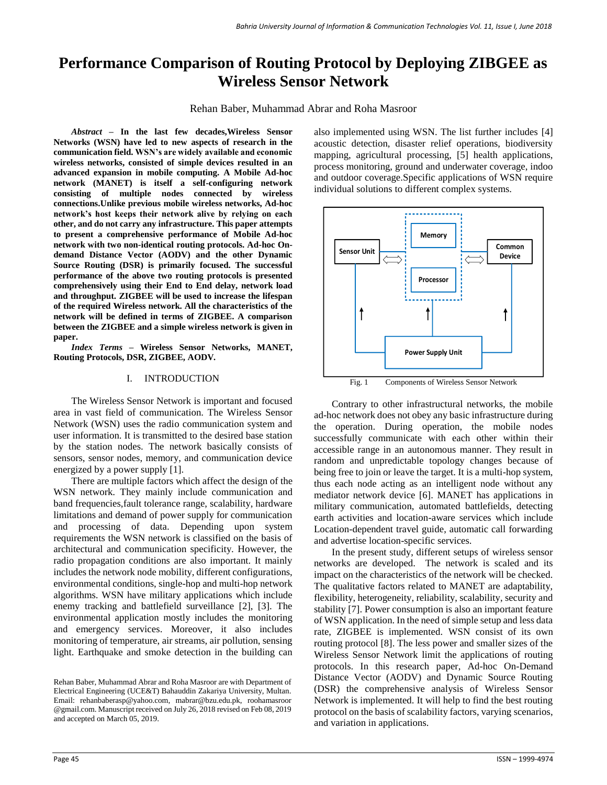# **Performance Comparison of Routing Protocol by Deploying ZIBGEE as Wireless Sensor Network**

Rehan Baber, Muhammad Abrar and Roha Masroor

*Abstract –* **In the last few decades,Wireless Sensor Networks (WSN) have led to new aspects of research in the communication field. WSN's are widely available and economic wireless networks, consisted of simple devices resulted in an advanced expansion in mobile computing. A Mobile Ad-hoc network (MANET) is itself a self-configuring network consisting of multiple nodes connected by wireless connections.Unlike previous mobile wireless networks, Ad-hoc network's host keeps their network alive by relying on each other, and do not carry any infrastructure. This paper attempts to present a comprehensive performance of Mobile Ad-hoc network with two non-identical routing protocols. Ad-hoc Ondemand Distance Vector (AODV) and the other Dynamic Source Routing (DSR) is primarily focused. The successful performance of the above two routing protocols is presented comprehensively using their End to End delay, network load and throughput. ZIGBEE will be used to increase the lifespan of the required Wireless network. All the characteristics of the network will be defined in terms of ZIGBEE. A comparison between the ZIGBEE and a simple wireless network is given in paper.**

*Index Terms –* **Wireless Sensor Networks, MANET, Routing Protocols, DSR, ZIGBEE, AODV***.*

## I. INTRODUCTION

The Wireless Sensor Network is important and focused area in vast field of communication. The Wireless Sensor Network (WSN) uses the radio communication system and user information. It is transmitted to the desired base station by the station nodes. The network basically consists of sensors, sensor nodes, memory, and communication device energized by a power supply [1].

There are multiple factors which affect the design of the WSN network. They mainly include communication and band frequencies,fault tolerance range, scalability, hardware limitations and demand of power supply for communication and processing of data. Depending upon system requirements the WSN network is classified on the basis of architectural and communication specificity. However, the radio propagation conditions are also important. It mainly includes the network node mobility, different configurations, environmental conditions, single-hop and multi-hop network algorithms. WSN have military applications which include enemy tracking and battlefield surveillance [2], [3]. The environmental application mostly includes the monitoring and emergency services. Moreover, it also includes monitoring of temperature, air streams, air pollution, sensing light. Earthquake and smoke detection in the building can also implemented using WSN. The list further includes [4] acoustic detection, disaster relief operations, biodiversity mapping, agricultural processing, [5] health applications, process monitoring, ground and underwater coverage, indoo and outdoor coverage.Specific applications of WSN require individual solutions to different complex systems.



Fig. 1 Components of Wireless Sensor Network

Contrary to other infrastructural networks, the mobile ad-hoc network does not obey any basic infrastructure during the operation. During operation, the mobile nodes successfully communicate with each other within their accessible range in an autonomous manner. They result in random and unpredictable topology changes because of being free to join or leave the target. It is a multi-hop system, thus each node acting as an intelligent node without any mediator network device [6]. MANET has applications in military communication, automated battlefields, detecting earth activities and location-aware services which include Location-dependent travel guide, automatic call forwarding and advertise location-specific services.

In the present study, different setups of wireless sensor networks are developed. The network is scaled and its impact on the characteristics of the network will be checked. The qualitative factors related to MANET are adaptability, flexibility, heterogeneity, reliability, scalability, security and stability [7]. Power consumption is also an important feature of WSN application. In the need of simple setup and less data rate, ZIGBEE is implemented. WSN consist of its own routing protocol [8]. The less power and smaller sizes of the Wireless Sensor Network limit the applications of routing protocols. In this research paper, Ad-hoc On-Demand Distance Vector (AODV) and Dynamic Source Routing (DSR) the comprehensive analysis of Wireless Sensor Network is implemented. It will help to find the best routing protocol on the basis of scalability factors, varying scenarios, and variation in applications.

Rehan Baber, Muhammad Abrar and Roha Masroor are with Department of Electrical Engineering (UCE&T) Bahauddin Zakariya University, Multan. Email: [rehanbaberasp@yahoo.com,](mailto:rehanbaberasp@yahoo.com) [mabrar@bzu.edu.pk,](mailto:mabrar@bzu.edu.pk) roohamasroor @gmail.com. Manuscript received on July 26, 2018 revised on Feb 08, 2019 and accepted on March 05, 2019.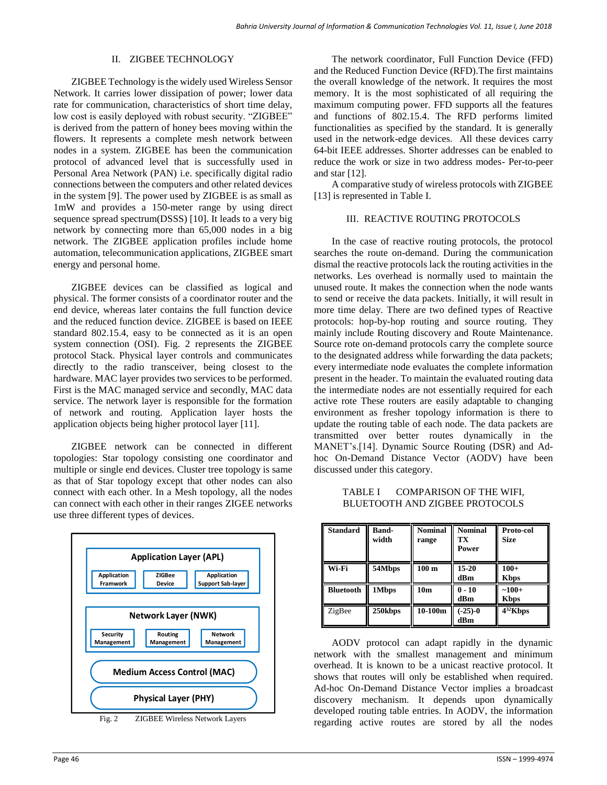#### II. ZIGBEE TECHNOLOGY

ZIGBEE Technology is the widely used Wireless Sensor Network. It carries lower dissipation of power; lower data rate for communication, characteristics of short time delay, low cost is easily deployed with robust security. "ZIGBEE" is derived from the pattern of honey bees moving within the flowers. It represents a complete mesh network between nodes in a system. ZIGBEE has been the communication protocol of advanced level that is successfully used in Personal Area Network (PAN) i.e. specifically digital radio connections between the computers and other related devices in the system [9]. The power used by ZIGBEE is as small as 1mW and provides a 150-meter range by using direct sequence spread spectrum(DSSS) [10]. It leads to a very big network by connecting more than 65,000 nodes in a big network. The ZIGBEE application profiles include home automation, telecommunication applications, ZIGBEE smart energy and personal home.

ZIGBEE devices can be classified as logical and physical. The former consists of a coordinator router and the end device, whereas later contains the full function device and the reduced function device. ZIGBEE is based on IEEE standard 802.15.4, easy to be connected as it is an open system connection (OSI). Fig. 2 represents the ZIGBEE protocol Stack. Physical layer controls and communicates directly to the radio transceiver, being closest to the hardware. MAC layer provides two services to be performed. First is the MAC managed service and secondly, MAC data service. The network layer is responsible for the formation of network and routing. Application layer hosts the application objects being higher protocol layer [11].

ZIGBEE network can be connected in different topologies: Star topology consisting one coordinator and multiple or single end devices. Cluster tree topology is same as that of Star topology except that other nodes can also connect with each other. In a Mesh topology, all the nodes can connect with each other in their ranges ZIGEE networks use three different types of devices.



Fig. 2 ZIGBEE Wireless Network Layers

The network coordinator, Full Function Device (FFD) and the Reduced Function Device (RFD).The first maintains the overall knowledge of the network. It requires the most memory. It is the most sophisticated of all requiring the maximum computing power. FFD supports all the features and functions of 802.15.4. The RFD performs limited functionalities as specified by the standard. It is generally used in the network-edge devices. All these devices carry 64-bit IEEE addresses. Shorter addresses can be enabled to reduce the work or size in two address modes- Per-to-peer and star [12].

A comparative study of wireless protocols with ZIGBEE [13] is represented in Table I.

## III. REACTIVE ROUTING PROTOCOLS

In the case of reactive routing protocols, the protocol searches the route on-demand. During the communication dismal the reactive protocols lack the routing activities in the networks. Les overhead is normally used to maintain the unused route. It makes the connection when the node wants to send or receive the data packets. Initially, it will result in more time delay. There are two defined types of Reactive protocols: hop-by-hop routing and source routing. They mainly include Routing discovery and Route Maintenance. Source rote on-demand protocols carry the complete source to the designated address while forwarding the data packets; every intermediate node evaluates the complete information present in the header. To maintain the evaluated routing data the intermediate nodes are not essentially required for each active rote These routers are easily adaptable to changing environment as fresher topology information is there to update the routing table of each node. The data packets are transmitted over better routes dynamically in the MANET's.[14]. Dynamic Source Routing (DSR) and Adhoc On-Demand Distance Vector (AODV) have been discussed under this category.

TABLE I COMPARISON OF THE WIFI, BLUETOOTH AND ZIGBEE PROTOCOLS

| <b>Standard</b>  | <b>Band-</b><br>width | <b>Nominal</b><br>range | <b>Nominal</b><br>ТX<br>Power | Proto-col<br><b>Size</b> |
|------------------|-----------------------|-------------------------|-------------------------------|--------------------------|
| Wi-Fi            | 54Mbps                | $100 \text{ m}$         | $15 - 20$<br>dBm              | $100+$<br><b>Kbps</b>    |
| <b>Bluetooth</b> | 1Mbps                 | 10 <sub>m</sub>         | $0 - 10$<br>dBm               | $-100+$<br><b>Kbps</b>   |
| ZigBee           | 250kbps               | $10-100m$               | $(-25)-0$<br>dBm              | $4^{32}$ Kbps            |

AODV protocol can adapt rapidly in the dynamic network with the smallest management and minimum overhead. It is known to be a unicast reactive protocol. It shows that routes will only be established when required. Ad-hoc On-Demand Distance Vector implies a broadcast discovery mechanism. It depends upon dynamically developed routing table entries. In AODV, the information regarding active routes are stored by all the nodes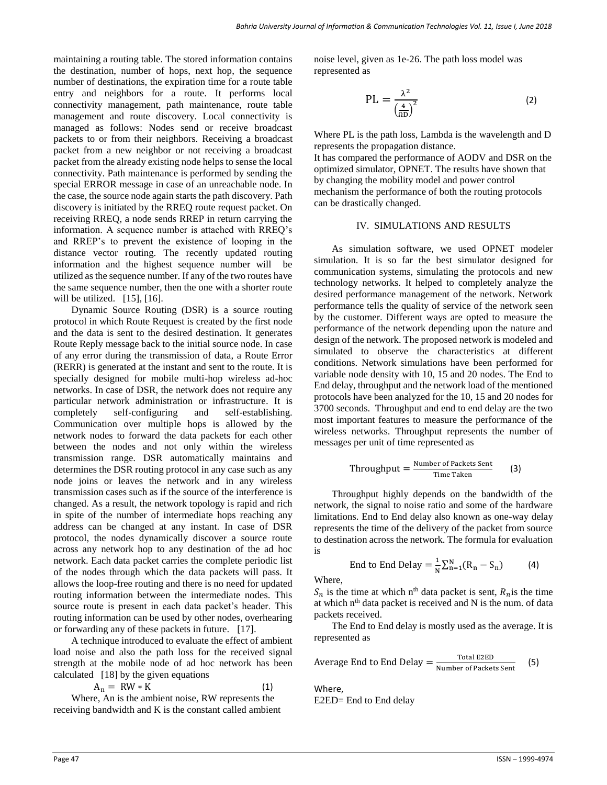maintaining a routing table. The stored information contains the destination, number of hops, next hop, the sequence number of destinations, the expiration time for a route table entry and neighbors for a route. It performs local connectivity management, path maintenance, route table management and route discovery. Local connectivity is managed as follows: Nodes send or receive broadcast packets to or from their neighbors. Receiving a broadcast packet from a new neighbor or not receiving a broadcast packet from the already existing node helps to sense the local connectivity. Path maintenance is performed by sending the special ERROR message in case of an unreachable node. In the case, the source node again starts the path discovery. Path discovery is initiated by the RREQ route request packet. On receiving RREQ, a node sends RREP in return carrying the information. A sequence number is attached with RREQ's and RREP's to prevent the existence of looping in the distance vector routing. The recently updated routing information and the highest sequence number will be utilized as the sequence number. If any of the two routes have the same sequence number, then the one with a shorter route will be utilized. [15], [16].

Dynamic Source Routing (DSR) is a source routing protocol in which Route Request is created by the first node and the data is sent to the desired destination. It generates Route Reply message back to the initial source node. In case of any error during the transmission of data, a Route Error (RERR) is generated at the instant and sent to the route. It is specially designed for mobile multi-hop wireless ad-hoc networks. In case of DSR, the network does not require any particular network administration or infrastructure. It is completely self-configuring and self-establishing. Communication over multiple hops is allowed by the network nodes to forward the data packets for each other between the nodes and not only within the wireless transmission range. DSR automatically maintains and determines the DSR routing protocol in any case such as any node joins or leaves the network and in any wireless transmission cases such as if the source of the interference is changed. As a result, the network topology is rapid and rich in spite of the number of intermediate hops reaching any address can be changed at any instant. In case of DSR protocol, the nodes dynamically discover a source route across any network hop to any destination of the ad hoc network. Each data packet carries the complete periodic list of the nodes through which the data packets will pass. It allows the loop-free routing and there is no need for updated routing information between the intermediate nodes. This source route is present in each data packet's header. This routing information can be used by other nodes, overhearing or forwarding any of these packets in future. [17].

A technique introduced to evaluate the effect of ambient load noise and also the path loss for the received signal strength at the mobile node of ad hoc network has been calculated [18] by the given equations

$$
A_n = RW * K \tag{1}
$$

Where, An is the ambient noise, RW represents the receiving bandwidth and K is the constant called ambient noise level, given as 1e-26. The path loss model was represented as

$$
PL = \frac{\lambda^2}{\left(\frac{4}{\Omega D}\right)^2} \tag{2}
$$

Where PL is the path loss, Lambda is the wavelength and D represents the propagation distance.

It has compared the performance of AODV and DSR on the optimized simulator, OPNET. The results have shown that by changing the mobility model and power control mechanism the performance of both the routing protocols can be drastically changed.

## IV. SIMULATIONS AND RESULTS

As simulation software, we used OPNET modeler simulation. It is so far the best simulator designed for communication systems, simulating the protocols and new technology networks. It helped to completely analyze the desired performance management of the network. Network performance tells the quality of service of the network seen by the customer. Different ways are opted to measure the performance of the network depending upon the nature and design of the network. The proposed network is modeled and simulated to observe the characteristics at different conditions. Network simulations have been performed for variable node density with 10, 15 and 20 nodes. The End to End delay, throughput and the network load of the mentioned protocols have been analyzed for the 10, 15 and 20 nodes for 3700 seconds. Throughput and end to end delay are the two most important features to measure the performance of the wireless networks. Throughput represents the number of messages per unit of time represented as

$$
Throughput = \frac{Number of Packets Sent}{Time Taken} \qquad (3)
$$

Throughput highly depends on the bandwidth of the network, the signal to noise ratio and some of the hardware limitations. End to End delay also known as one-way delay represents the time of the delivery of the packet from source to destination across the network. The formula for evaluation is

End to End Delay = 
$$
\frac{1}{N} \sum_{n=1}^{N} (R_n - S_n)
$$
 (4)

Where,

 $S_n$  is the time at which n<sup>th</sup> data packet is sent,  $R_n$  is the time at which  $n<sup>th</sup>$  data packet is received and N is the num. of data packets received.

The End to End delay is mostly used as the average. It is represented as

Average End to End Delay = 
$$
\frac{\text{Total E2ED}}{\text{Number of Packets Sent}}
$$
 (5)

Where, E2ED= End to End delay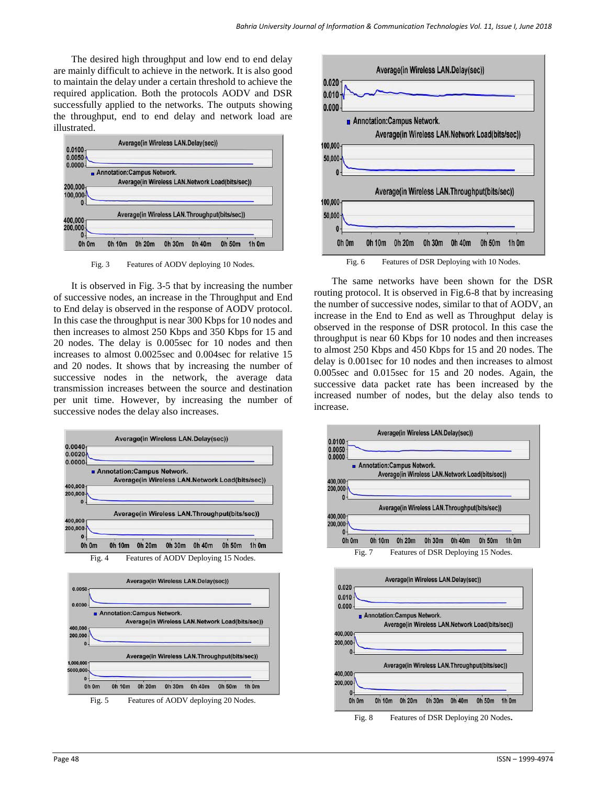The desired high throughput and low end to end delay are mainly difficult to achieve in the network. It is also good to maintain the delay under a certain threshold to achieve the required application. Both the protocols AODV and DSR successfully applied to the networks. The outputs showing the throughput, end to end delay and network load are illustrated.



Fig. 3 Features of AODV deploying 10 Nodes.

It is observed in Fig. 3-5 that by increasing the number of successive nodes, an increase in the Throughput and End to End delay is observed in the response of AODV protocol. In this case the throughput is near 300 Kbps for 10 nodes and then increases to almost 250 Kbps and 350 Kbps for 15 and 20 nodes. The delay is 0.005sec for 10 nodes and then increases to almost 0.0025sec and 0.004sec for relative 15 and 20 nodes. It shows that by increasing the number of successive nodes in the network, the average data transmission increases between the source and destination per unit time. However, by increasing the number of successive nodes the delay also increases.







The same networks have been shown for the DSR routing protocol. It is observed in Fig.6-8 that by increasing the number of successive nodes, similar to that of AODV, an increase in the End to End as well as Throughput delay is observed in the response of DSR protocol. In this case the throughput is near 60 Kbps for 10 nodes and then increases to almost 250 Kbps and 450 Kbps for 15 and 20 nodes. The delay is 0.001sec for 10 nodes and then increases to almost 0.005sec and 0.015sec for 15 and 20 nodes. Again, the successive data packet rate has been increased by the increased number of nodes, but the delay also tends to increase.

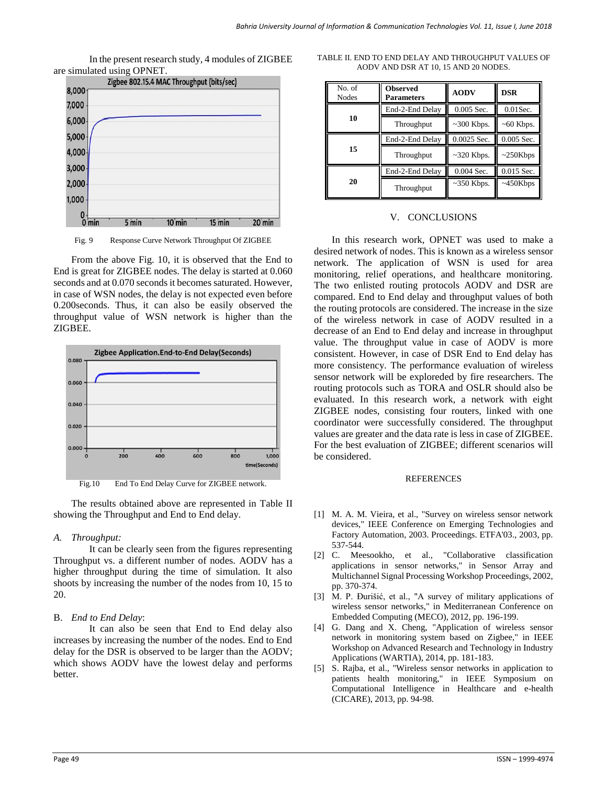In the present research study, 4 modules of ZIGBEE are simulated using OPNET.



Fig. 9 Response Curve Network Throughput Of ZIGBEE

From the above Fig. 10, it is observed that the End to End is great for ZIGBEE nodes. The delay is started at 0.060 seconds and at 0.070 seconds it becomes saturated. However, in case of WSN nodes, the delay is not expected even before 0.200seconds. Thus, it can also be easily observed the throughput value of WSN network is higher than the ZIGBEE.





The results obtained above are represented in Table II showing the Throughput and End to End delay.

# *A. Throughput:*

It can be clearly seen from the figures representing Throughput vs. a different number of nodes. AODV has a higher throughput during the time of simulation. It also shoots by increasing the number of the nodes from 10, 15 to 20.

# B. *End to End Delay*:

It can also be seen that End to End delay also increases by increasing the number of the nodes. End to End delay for the DSR is observed to be larger than the AODV; which shows AODV have the lowest delay and performs better.

| No. of<br><b>Nodes</b> | <b>Observed</b><br><b>Parameters</b> | <b>AODV</b>      | DSR            |
|------------------------|--------------------------------------|------------------|----------------|
|                        | End-2-End Delay                      | $0.005$ Sec.     | $0.01$ Sec.    |
| 10                     | Throughput                           | $\sim$ 300 Kbps. | $~50$ Kbps.    |
|                        | End-2-End Delay                      | 0.0025 Sec.      | $0.005$ Sec.   |
| 15                     | Throughput                           | $\sim$ 320 Kbps. | $\sim$ 250Kbps |
| 20                     | End-2-End Delay                      | $0.004$ Sec.     | 0.015 Sec.     |
|                        | Throughput                           | $\sim$ 350 Kbps. | $~150$ Kbps    |

TABLE II. END TO END DELAY AND THROUGHPUT VALUES OF AODV AND DSR AT 10, 15 AND 20 NODES.

# V. CONCLUSIONS

In this research work, OPNET was used to make a desired network of nodes. This is known as a wireless sensor network. The application of WSN is used for area monitoring, relief operations, and healthcare monitoring. The two enlisted routing protocols AODV and DSR are compared. End to End delay and throughput values of both the routing protocols are considered. The increase in the size of the wireless network in case of AODV resulted in a decrease of an End to End delay and increase in throughput value. The throughput value in case of AODV is more consistent. However, in case of DSR End to End delay has more consistency. The performance evaluation of wireless sensor network will be exploreded by fire researchers. The routing protocols such as TORA and OSLR should also be evaluated. In this research work, a network with eight ZIGBEE nodes, consisting four routers, linked with one coordinator were successfully considered. The throughput values are greater and the data rate is less in case of ZIGBEE. For the best evaluation of ZIGBEE; different scenarios will be considered.

#### **REFERENCES**

- [1] M. A. M. Vieira, et al., "Survey on wireless sensor network devices," IEEE Conference on Emerging Technologies and Factory Automation, 2003. Proceedings. ETFA'03., 2003, pp. 537-544.
- [2] C. Meesookho, et al., "Collaborative classification applications in sensor networks," in Sensor Array and Multichannel Signal Processing Workshop Proceedings, 2002, pp. 370-374.
- [3] M. P. Đurišić, et al., "A survey of military applications of wireless sensor networks," in Mediterranean Conference on Embedded Computing (MECO), 2012, pp. 196-199.
- [4] G. Dang and X. Cheng, "Application of wireless sensor network in monitoring system based on Zigbee," in IEEE Workshop on Advanced Research and Technology in Industry Applications (WARTIA), 2014, pp. 181-183.
- [5] S. Rajba, et al., "Wireless sensor networks in application to patients health monitoring," in IEEE Symposium on Computational Intelligence in Healthcare and e-health (CICARE), 2013, pp. 94-98.

#### Page 49 ISSN – 1999-4974